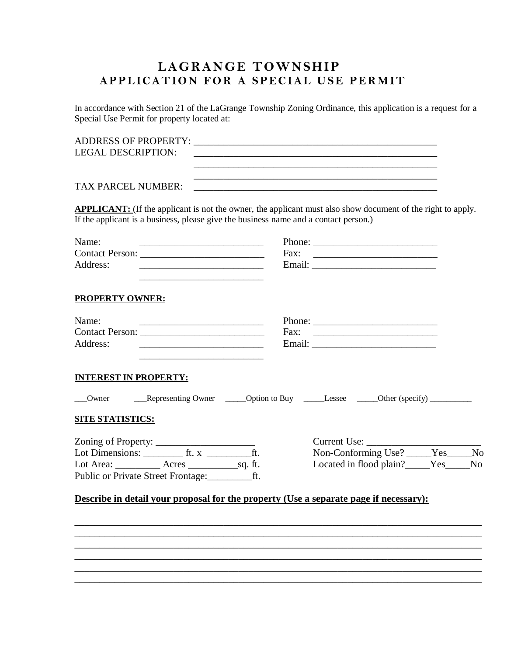## **LAGRANGE TOWNSHIP APPLICATION FOR A SPECIAL USE PERMIT**

In accordance with Section 21 of the LaGrange Township Zoning Ordinance, this application is a request for a Special Use Permit for property located at:

| <b>LEGAL DESCRIPTION:</b>                                                                                                                                                                                  | <u> 2002 - Jan Barbara, manazarta bashkin da bashkin da bashkin da bashkin da bashkin da bashkin da bashkin da b</u> |      |                                                                                                                                                                                                                                                                                                                                                                                                                                      |  |
|------------------------------------------------------------------------------------------------------------------------------------------------------------------------------------------------------------|----------------------------------------------------------------------------------------------------------------------|------|--------------------------------------------------------------------------------------------------------------------------------------------------------------------------------------------------------------------------------------------------------------------------------------------------------------------------------------------------------------------------------------------------------------------------------------|--|
| <b>TAX PARCEL NUMBER:</b>                                                                                                                                                                                  |                                                                                                                      |      | ,我们也不能在这里的时候,我们也不能在这里的时候,我们也不能会在这里的时候,我们也不能会在这里的时候,我们也不能会在这里的时候,我们也不能会在这里的时候,我们也不                                                                                                                                                                                                                                                                                                                                                    |  |
| <b>APPLICANT:</b> (If the applicant is not the owner, the applicant must also show document of the right to apply.<br>If the applicant is a business, please give the business name and a contact person.) |                                                                                                                      |      |                                                                                                                                                                                                                                                                                                                                                                                                                                      |  |
| Name:<br>Address:                                                                                                                                                                                          | the control of the control of the control of the control of the control of the control of                            |      | Phone: $\frac{1}{\sqrt{1-\frac{1}{2}}\sqrt{1-\frac{1}{2}}\sqrt{1-\frac{1}{2}}\sqrt{1-\frac{1}{2}}\sqrt{1-\frac{1}{2}}\sqrt{1-\frac{1}{2}}\sqrt{1-\frac{1}{2}}\sqrt{1-\frac{1}{2}}\sqrt{1-\frac{1}{2}}\sqrt{1-\frac{1}{2}}\sqrt{1-\frac{1}{2}}\sqrt{1-\frac{1}{2}}\sqrt{1-\frac{1}{2}}\sqrt{1-\frac{1}{2}}\sqrt{1-\frac{1}{2}}\sqrt{1-\frac{1}{2}}\sqrt{1-\frac{1}{2}}\sqrt{1-\frac{1}{2}}\sqrt{1-\frac{1}{2$<br>Fax: $\qquad \qquad$ |  |
| <b>PROPERTY OWNER:</b>                                                                                                                                                                                     |                                                                                                                      |      |                                                                                                                                                                                                                                                                                                                                                                                                                                      |  |
| Name:<br>Address:                                                                                                                                                                                          |                                                                                                                      | Fax: |                                                                                                                                                                                                                                                                                                                                                                                                                                      |  |
| <b>INTEREST IN PROPERTY:</b>                                                                                                                                                                               |                                                                                                                      |      |                                                                                                                                                                                                                                                                                                                                                                                                                                      |  |
| Owner                                                                                                                                                                                                      | __Representing Owner _____Option to Buy _____Lessee _____Other (specify) ________                                    |      |                                                                                                                                                                                                                                                                                                                                                                                                                                      |  |

## **SITE STATISTICS:**

| Zoning of Property:                |       |         | Current Use:            |     |                |
|------------------------------------|-------|---------|-------------------------|-----|----------------|
| Lot Dimensions:                    | tt.x  |         | Non-Conforming Use?     | Yes | No             |
| Lot Area:                          | Acres | sa. ft. | Located in flood plain? | Yes | N <sub>0</sub> |
| Public or Private Street Frontage: |       |         |                         |     |                |

| Current Use:            |     |     |
|-------------------------|-----|-----|
| Non-Conforming Use?     | Yes | No. |
| Located in flood plain? | Yes | Nο  |

## **Describe in detail your proposal for the property (Use a separate page if necessary):**

\_\_\_\_\_\_\_\_\_\_\_\_\_\_\_\_\_\_\_\_\_\_\_\_\_\_\_\_\_\_\_\_\_\_\_\_\_\_\_\_\_\_\_\_\_\_\_\_\_\_\_\_\_\_\_\_\_\_\_\_\_\_\_\_\_\_\_\_\_\_\_\_\_\_\_\_\_\_\_\_\_\_ \_\_\_\_\_\_\_\_\_\_\_\_\_\_\_\_\_\_\_\_\_\_\_\_\_\_\_\_\_\_\_\_\_\_\_\_\_\_\_\_\_\_\_\_\_\_\_\_\_\_\_\_\_\_\_\_\_\_\_\_\_\_\_\_\_\_\_\_\_\_\_\_\_\_\_\_\_\_\_\_\_\_ \_\_\_\_\_\_\_\_\_\_\_\_\_\_\_\_\_\_\_\_\_\_\_\_\_\_\_\_\_\_\_\_\_\_\_\_\_\_\_\_\_\_\_\_\_\_\_\_\_\_\_\_\_\_\_\_\_\_\_\_\_\_\_\_\_\_\_\_\_\_\_\_\_\_\_\_\_\_\_\_\_\_

 $\mathcal{L}_\mathcal{L} = \{ \mathcal{L}_\mathcal{L} = \{ \mathcal{L}_\mathcal{L} = \{ \mathcal{L}_\mathcal{L} = \{ \mathcal{L}_\mathcal{L} = \{ \mathcal{L}_\mathcal{L} = \{ \mathcal{L}_\mathcal{L} = \{ \mathcal{L}_\mathcal{L} = \{ \mathcal{L}_\mathcal{L} = \{ \mathcal{L}_\mathcal{L} = \{ \mathcal{L}_\mathcal{L} = \{ \mathcal{L}_\mathcal{L} = \{ \mathcal{L}_\mathcal{L} = \{ \mathcal{L}_\mathcal{L} = \{ \mathcal{L}_\mathcal{$